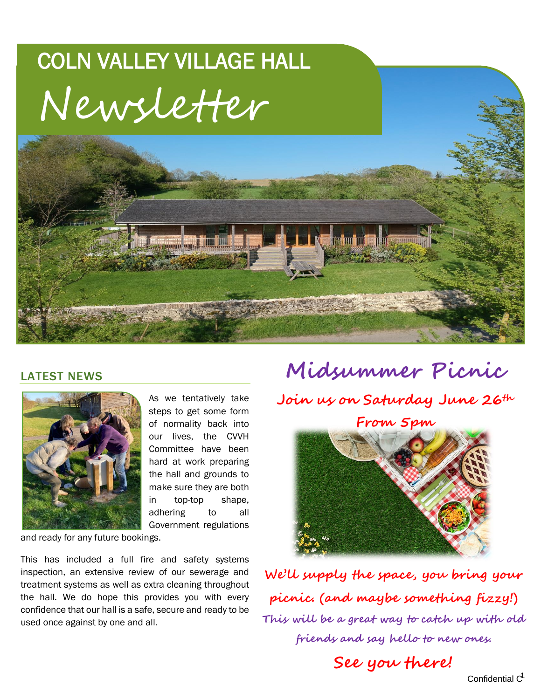## COLN VALLEY VILLAGE HALL Newsletter



## LATEST NEWS



As we tentatively take steps to get some form of normality back into our lives, the CVVH Committee have been hard at work preparing the hall and grounds to make sure they are both in top-top shape, adhering to all Government regulations

and ready for any future bookings.

This has included a full fire and safety systems inspection, an extensive review of our sewerage and treatment systems as well as extra cleaning throughout the hall. We do hope this provides you with every confidence that our hall is a safe, secure and ready to be used once against by one and all.

 **Midsummer Picnic Join us on Saturday June 26th**

**From 5pm**

**We'll supply the space, you bring your picnic. (and maybe something fizzy!) This will be a great way to catch up with old friends and say hello to new ones.**

**See you there!**

Confidential  $C<sup>1</sup>$